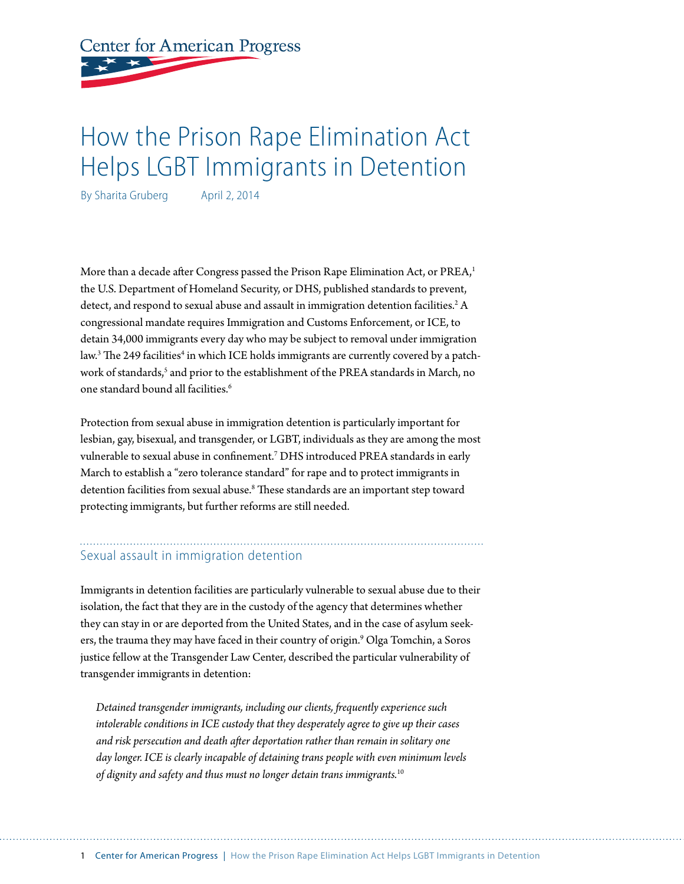# **Center for American Progress**

## How the Prison Rape Elimination Act Helps LGBT Immigrants in Detention

By Sharita Gruberg April 2, 2014

More than a decade after Congress passed the Prison Rape Elimination Act, or PREA,<sup>1</sup> the U.S. Department of Homeland Security, or DHS, published standards to prevent, detect, and respond to sexual abuse and assault in immigration detention facilities.<sup>2</sup> A congressional mandate requires Immigration and Customs Enforcement, or ICE, to detain 34,000 immigrants every day who may be subject to removal under immigration law.<sup>3</sup> The 249 facilities<sup>4</sup> in which ICE holds immigrants are currently covered by a patchwork of standards,<sup>5</sup> and prior to the establishment of the PREA standards in March, no one standard bound all facilities.6

Protection from sexual abuse in immigration detention is particularly important for lesbian, gay, bisexual, and transgender, or LGBT, individuals as they are among the most vulnerable to sexual abuse in confinement.7 DHS introduced PREA standards in early March to establish a "zero tolerance standard" for rape and to protect immigrants in detention facilities from sexual abuse.<sup>8</sup> These standards are an important step toward protecting immigrants, but further reforms are still needed.

#### Sexual assault in immigration detention

Immigrants in detention facilities are particularly vulnerable to sexual abuse due to their isolation, the fact that they are in the custody of the agency that determines whether they can stay in or are deported from the United States, and in the case of asylum seekers, the trauma they may have faced in their country of origin.<sup>9</sup> Olga Tomchin, a Soros justice fellow at the Transgender Law Center, described the particular vulnerability of transgender immigrants in detention:

*Detained transgender immigrants, including our clients, frequently experience such intolerable conditions in ICE custody that they desperately agree to give up their cases and risk persecution and death after deportation rather than remain in solitary one day longer. ICE is clearly incapable of detaining trans people with even minimum levels of dignity and safety and thus must no longer detain trans immigrants.*10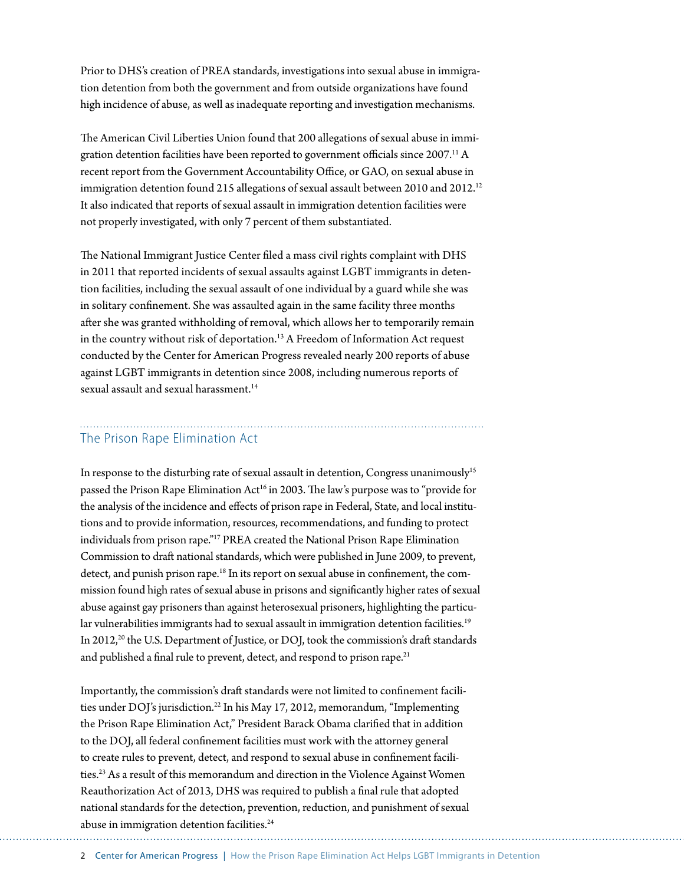Prior to DHS's creation of PREA standards, investigations into sexual abuse in immigration detention from both the government and from outside organizations have found high incidence of abuse, as well as inadequate reporting and investigation mechanisms.

The American Civil Liberties Union found that 200 allegations of sexual abuse in immigration detention facilities have been reported to government officials since 2007.<sup>11</sup> A recent report from the Government Accountability Office, or GAO, on sexual abuse in immigration detention found 215 allegations of sexual assault between 2010 and 2012.<sup>12</sup> It also indicated that reports of sexual assault in immigration detention facilities were not properly investigated, with only 7 percent of them substantiated.

The National Immigrant Justice Center filed a mass civil rights complaint with DHS in 2011 that reported incidents of sexual assaults against LGBT immigrants in detention facilities, including the sexual assault of one individual by a guard while she was in solitary confinement. She was assaulted again in the same facility three months after she was granted withholding of removal, which allows her to temporarily remain in the country without risk of deportation.<sup>13</sup> A Freedom of Information Act request conducted by the Center for American Progress revealed nearly 200 reports of abuse against LGBT immigrants in detention since 2008, including numerous reports of sexual assault and sexual harassment.<sup>14</sup>

### The Prison Rape Elimination Act

In response to the disturbing rate of sexual assault in detention, Congress unanimously<sup>15</sup> passed the Prison Rape Elimination Act<sup>16</sup> in 2003. The law's purpose was to "provide for the analysis of the incidence and effects of prison rape in Federal, State, and local institutions and to provide information, resources, recommendations, and funding to protect individuals from prison rape."17 PREA created the National Prison Rape Elimination Commission to draft national standards, which were published in June 2009, to prevent, detect, and punish prison rape.<sup>18</sup> In its report on sexual abuse in confinement, the commission found high rates of sexual abuse in prisons and significantly higher rates of sexual abuse against gay prisoners than against heterosexual prisoners, highlighting the particular vulnerabilities immigrants had to sexual assault in immigration detention facilities.<sup>19</sup> In 2012,<sup>20</sup> the U.S. Department of Justice, or DOJ, took the commission's draft standards and published a final rule to prevent, detect, and respond to prison rape.<sup>21</sup>

Importantly, the commission's draft standards were not limited to confinement facilities under DOJ's jurisdiction.<sup>22</sup> In his May 17, 2012, memorandum, "Implementing the Prison Rape Elimination Act," President Barack Obama clarified that in addition to the DOJ, all federal confinement facilities must work with the attorney general to create rules to prevent, detect, and respond to sexual abuse in confinement facilities.<sup>23</sup> As a result of this memorandum and direction in the Violence Against Women Reauthorization Act of 2013, DHS was required to publish a final rule that adopted national standards for the detection, prevention, reduction, and punishment of sexual abuse in immigration detention facilities.<sup>24</sup>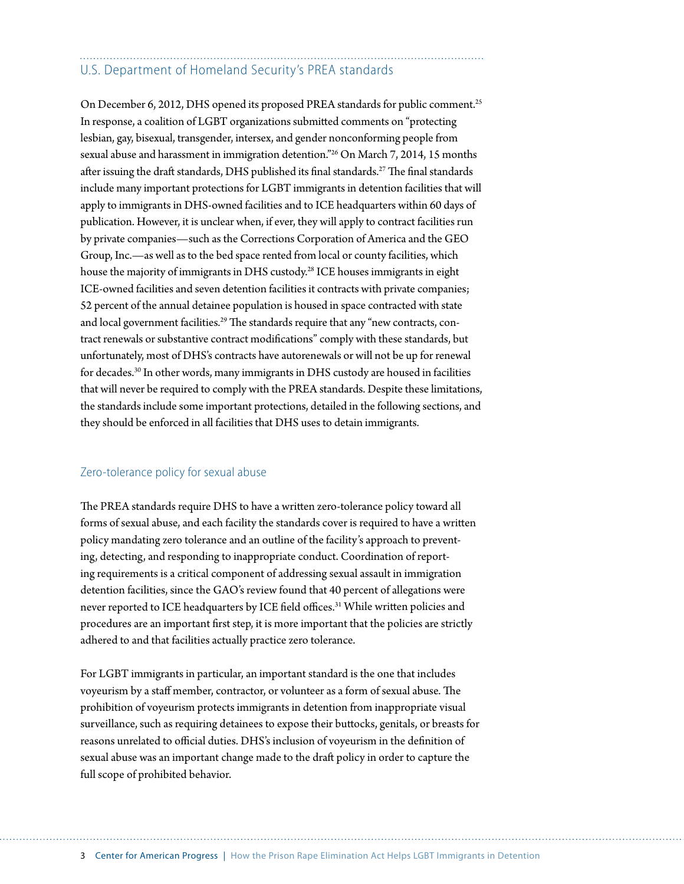### U.S. Department of Homeland Security's PREA standards

On December 6, 2012, DHS opened its proposed PREA standards for public comment.<sup>25</sup> In response, a coalition of LGBT organizations submitted comments on "protecting lesbian, gay, bisexual, transgender, intersex, and gender nonconforming people from sexual abuse and harassment in immigration detention."26 On March 7, 2014, 15 months after issuing the draft standards, DHS published its final standards.<sup>27</sup> The final standards include many important protections for LGBT immigrants in detention facilities that will apply to immigrants in DHS-owned facilities and to ICE headquarters within 60 days of publication. However, it is unclear when, if ever, they will apply to contract facilities run by private companies—such as the Corrections Corporation of America and the GEO Group, Inc.—as well as to the bed space rented from local or county facilities, which house the majority of immigrants in DHS custody.<sup>28</sup> ICE houses immigrants in eight ICE-owned facilities and seven detention facilities it contracts with private companies; 52 percent of the annual detainee population is housed in space contracted with state and local government facilities.<sup>29</sup> The standards require that any "new contracts, contract renewals or substantive contract modifications" comply with these standards, but unfortunately, most of DHS's contracts have autorenewals or will not be up for renewal for decades.30 In other words, many immigrants in DHS custody are housed in facilities that will never be required to comply with the PREA standards. Despite these limitations, the standards include some important protections, detailed in the following sections, and they should be enforced in all facilities that DHS uses to detain immigrants.

#### Zero-tolerance policy for sexual abuse

The PREA standards require DHS to have a written zero-tolerance policy toward all forms of sexual abuse, and each facility the standards cover is required to have a written policy mandating zero tolerance and an outline of the facility's approach to preventing, detecting, and responding to inappropriate conduct. Coordination of reporting requirements is a critical component of addressing sexual assault in immigration detention facilities, since the GAO's review found that 40 percent of allegations were never reported to ICE headquarters by ICE field offices.<sup>31</sup> While written policies and procedures are an important first step, it is more important that the policies are strictly adhered to and that facilities actually practice zero tolerance.

For LGBT immigrants in particular, an important standard is the one that includes voyeurism by a staff member, contractor, or volunteer as a form of sexual abuse. The prohibition of voyeurism protects immigrants in detention from inappropriate visual surveillance, such as requiring detainees to expose their buttocks, genitals, or breasts for reasons unrelated to official duties. DHS's inclusion of voyeurism in the definition of sexual abuse was an important change made to the draft policy in order to capture the full scope of prohibited behavior.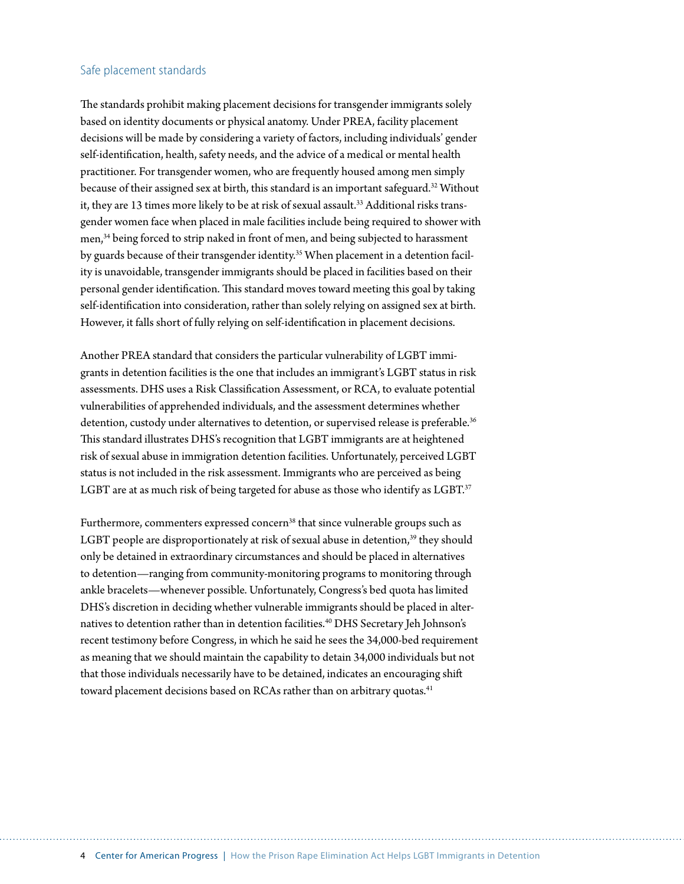#### Safe placement standards

The standards prohibit making placement decisions for transgender immigrants solely based on identity documents or physical anatomy. Under PREA, facility placement decisions will be made by considering a variety of factors, including individuals' gender self-identification, health, safety needs, and the advice of a medical or mental health practitioner. For transgender women, who are frequently housed among men simply because of their assigned sex at birth, this standard is an important safeguard.<sup>32</sup> Without it, they are 13 times more likely to be at risk of sexual assault.<sup>33</sup> Additional risks transgender women face when placed in male facilities include being required to shower with men,<sup>34</sup> being forced to strip naked in front of men, and being subjected to harassment by guards because of their transgender identity.<sup>35</sup> When placement in a detention facility is unavoidable, transgender immigrants should be placed in facilities based on their personal gender identification. This standard moves toward meeting this goal by taking self-identification into consideration, rather than solely relying on assigned sex at birth. However, it falls short of fully relying on self-identification in placement decisions.

Another PREA standard that considers the particular vulnerability of LGBT immigrants in detention facilities is the one that includes an immigrant's LGBT status in risk assessments. DHS uses a Risk Classification Assessment, or RCA, to evaluate potential vulnerabilities of apprehended individuals, and the assessment determines whether detention, custody under alternatives to detention, or supervised release is preferable.<sup>36</sup> This standard illustrates DHS's recognition that LGBT immigrants are at heightened risk of sexual abuse in immigration detention facilities. Unfortunately, perceived LGBT status is not included in the risk assessment. Immigrants who are perceived as being LGBT are at as much risk of being targeted for abuse as those who identify as LGBT.<sup>37</sup>

Furthermore, commenters expressed concern<sup>38</sup> that since vulnerable groups such as LGBT people are disproportionately at risk of sexual abuse in detention,<sup>39</sup> they should only be detained in extraordinary circumstances and should be placed in alternatives to detention—ranging from community-monitoring programs to monitoring through ankle bracelets—whenever possible. Unfortunately, Congress's bed quota has limited DHS's discretion in deciding whether vulnerable immigrants should be placed in alternatives to detention rather than in detention facilities.<sup>40</sup> DHS Secretary Jeh Johnson's recent testimony before Congress, in which he said he sees the 34,000-bed requirement as meaning that we should maintain the capability to detain 34,000 individuals but not that those individuals necessarily have to be detained, indicates an encouraging shift toward placement decisions based on RCAs rather than on arbitrary quotas.<sup>41</sup>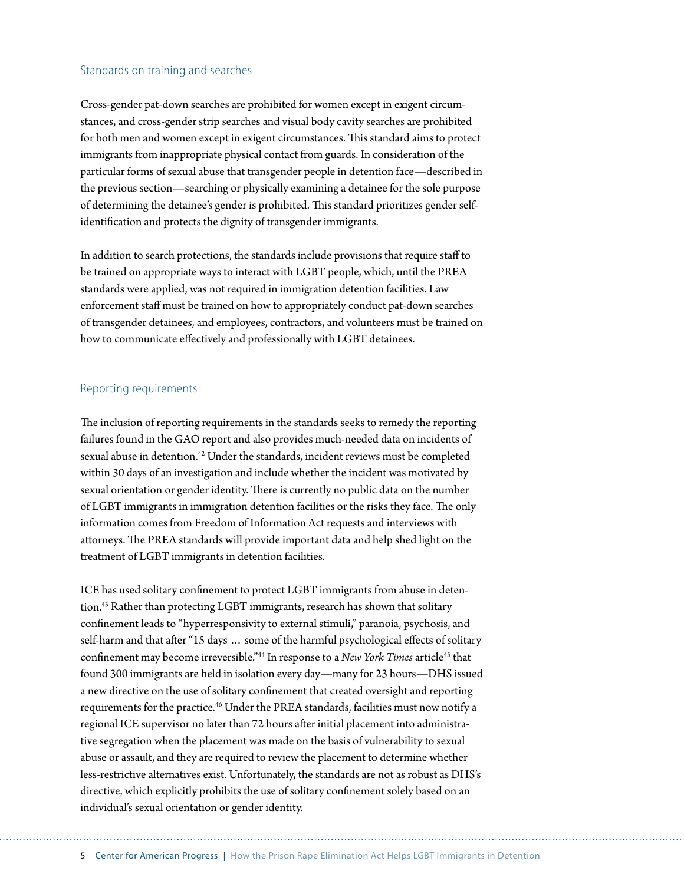#### Standards on training and searches

Cross-gender pat-down searches are prohibited for women except in exigent circumstances, and cross-gender strip searches and visual body cavity searches are prohibited for both men and women except in exigent circumstances. This standard aims to protect immigrants from inappropriate physical contact from guards. In consideration of the particular forms of sexual abuse that transgender people in detention face—described in the previous section—searching or physically examining a detainee for the sole purpose of determining the detainee's gender is prohibited. This standard prioritizes gender selfidentification and protects the dignity of transgender immigrants.

In addition to search protections, the standards include provisions that require staff to be trained on appropriate ways to interact with LGBT people, which, until the PREA standards were applied, was not required in immigration detention facilities. Law enforcement staff must be trained on how to appropriately conduct pat-down searches of transgender detainees, and employees, contractors, and volunteers must be trained on how to communicate effectively and professionally with LGBT detainees.

#### Reporting requirements

The inclusion of reporting requirements in the standards seeks to remedy the reporting failures found in the GAO report and also provides much-needed data on incidents of sexual abuse in detention.<sup>42</sup> Under the standards, incident reviews must be completed within 30 days of an investigation and include whether the incident was motivated by sexual orientation or gender identity. There is currently no public data on the number of LGBT immigrants in immigration detention facilities or the risks they face. The only information comes from Freedom of Information Act requests and interviews with attorneys. The PREA standards will provide important data and help shed light on the treatment of LGBT immigrants in detention facilities.

ICE has used solitary confinement to protect LGBT immigrants from abuse in detention.<sup>43</sup> Rather than protecting LGBT immigrants, research has shown that solitary confinement leads to "hyperresponsivity to external stimuli," paranoia, psychosis, and self-harm and that after "15 days … some of the harmful psychological effects of solitary confinement may become irreversible."<sup>44</sup> In response to a *New York Times* article<sup>45</sup> that found 300 immigrants are held in isolation every day—many for 23 hours—DHS issued a new directive on the use of solitary confinement that created oversight and reporting requirements for the practice.<sup>46</sup> Under the PREA standards, facilities must now notify a regional ICE supervisor no later than 72 hours after initial placement into administrative segregation when the placement was made on the basis of vulnerability to sexual abuse or assault, and they are required to review the placement to determine whether less-restrictive alternatives exist. Unfortunately, the standards are not as robust as DHS's directive, which explicitly prohibits the use of solitary confinement solely based on an individual's sexual orientation or gender identity.

5 Center for American Progress | How the Prison Rape Elimination Act Helps LGBT Immigrants in Detention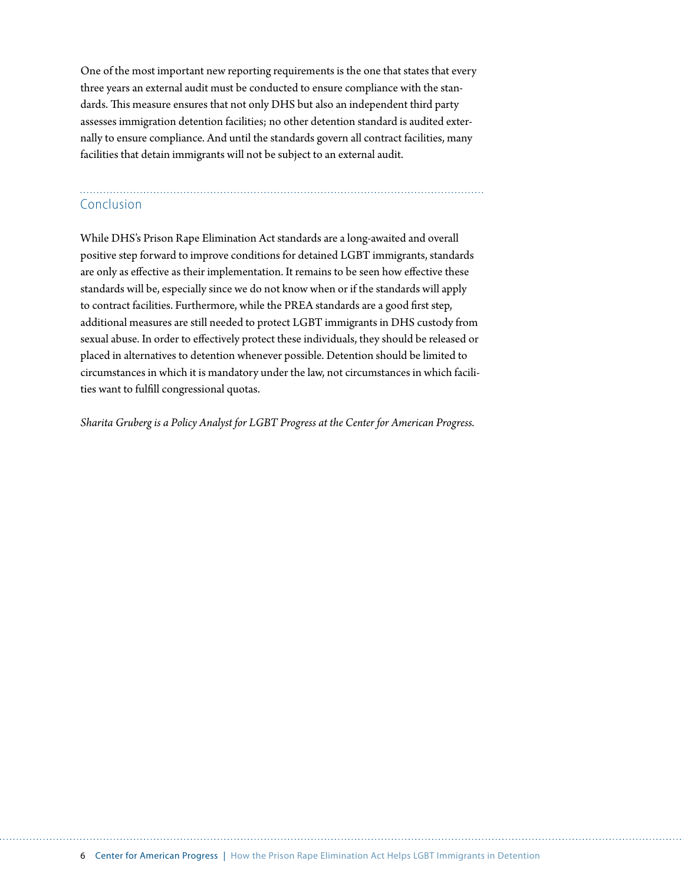One of the most important new reporting requirements is the one that states that every three years an external audit must be conducted to ensure compliance with the standards. This measure ensures that not only DHS but also an independent third party assesses immigration detention facilities; no other detention standard is audited externally to ensure compliance. And until the standards govern all contract facilities, many facilities that detain immigrants will not be subject to an external audit.

## Conclusion

While DHS's Prison Rape Elimination Act standards are a long-awaited and overall positive step forward to improve conditions for detained LGBT immigrants, standards are only as effective as their implementation. It remains to be seen how effective these standards will be, especially since we do not know when or if the standards will apply to contract facilities. Furthermore, while the PREA standards are a good first step, additional measures are still needed to protect LGBT immigrants in DHS custody from sexual abuse. In order to effectively protect these individuals, they should be released or placed in alternatives to detention whenever possible. Detention should be limited to circumstances in which it is mandatory under the law, not circumstances in which facilities want to fulfill congressional quotas.

*Sharita Gruberg is a Policy Analyst for LGBT Progress at the Center for American Progress.*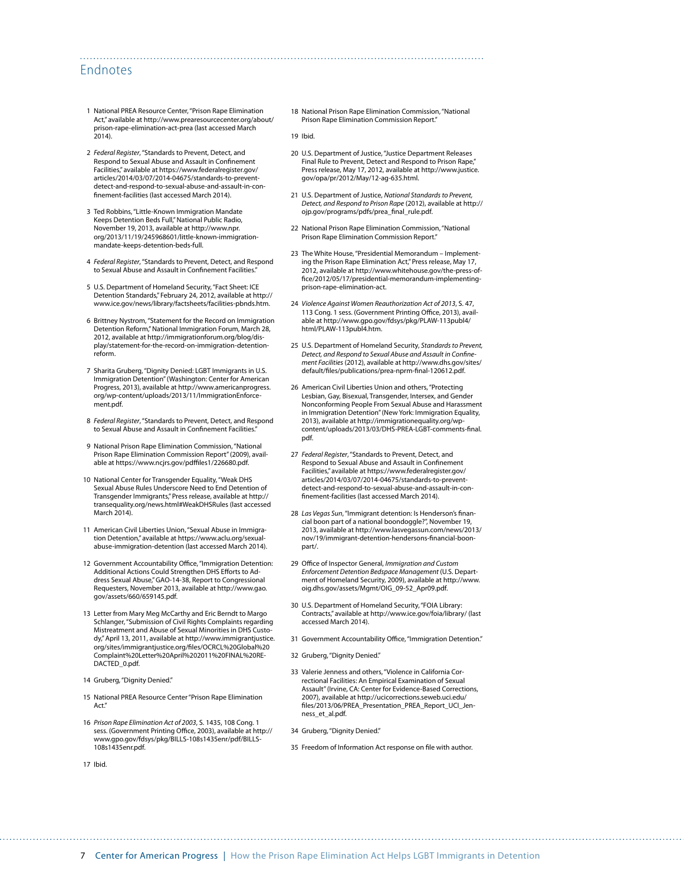#### Endnotes

- 1 National PREA Resource Center, "Prison Rape Elimination Act," available at [http://www.prearesourcecenter.org/about/](http://www.prearesourcecenter.org/about/prison-rape-elimination-act-prea) [prison-rape-elimination-act-prea](http://www.prearesourcecenter.org/about/prison-rape-elimination-act-prea) (last accessed March  $2014$ ).
- 2 *Federal Register*, "Standards to Prevent, Detect, and Respond to Sexual Abuse and Assault in Confinement Facilities," available at [https://www.federalregister.gov/](https://www.federalregister.gov/articles/2014/03/07/2014-04675/standards-to-prevent-detect-and-respond-to-sexual-abuse-and-assault-in-confinement-facilities) [articles/2014/03/07/2014-04675/standards-to-prevent](https://www.federalregister.gov/articles/2014/03/07/2014-04675/standards-to-prevent-detect-and-respond-to-sexual-abuse-and-assault-in-confinement-facilities)[detect-and-respond-to-sexual-abuse-and-assault-in-con](https://www.federalregister.gov/articles/2014/03/07/2014-04675/standards-to-prevent-detect-and-respond-to-sexual-abuse-and-assault-in-confinement-facilities)[finement-facilities](https://www.federalregister.gov/articles/2014/03/07/2014-04675/standards-to-prevent-detect-and-respond-to-sexual-abuse-and-assault-in-confinement-facilities) (last accessed March 2014).
- 3 Ted Robbins, "Little-Known Immigration Mandate Keeps Detention Beds Full," National Public Radio, November 19, 2013, available at [http://www.npr.](http://www.npr.org/2013/11/19/245968601/little-known-immigration-mandate-keeps-detention-beds-full) [org/2013/11/19/245968601/little-known-immigration](http://www.npr.org/2013/11/19/245968601/little-known-immigration-mandate-keeps-detention-beds-full)[mandate-keeps-detention-beds-full.](http://www.npr.org/2013/11/19/245968601/little-known-immigration-mandate-keeps-detention-beds-full)
- 4 *Federal Register*, "Standards to Prevent, Detect, and Respond to Sexual Abuse and Assault in Confinement Facilities.
- 5 U.S. Department of Homeland Security, "Fact Sheet: ICE Detention Standards," February 24, 2012, available at [http://](http://www.ice.gov/news/library/factsheets/facilities-pbnds.htm) [www.ice.gov/news/library/factsheets/facilities-pbnds.htm.](http://www.ice.gov/news/library/factsheets/facilities-pbnds.htm)
- 6 Brittney Nystrom, "Statement for the Record on Immigration Detention Reform," National Immigration Forum, March 28, 2012, available at [http://immigrationforum.org/blog/dis](http://immigrationforum.org/blog/display/statement-for-the-record-on-immigration-detention-reform)[play/statement-for-the-record-on-immigration-detention](http://immigrationforum.org/blog/display/statement-for-the-record-on-immigration-detention-reform)[reform](http://immigrationforum.org/blog/display/statement-for-the-record-on-immigration-detention-reform).
- 7 Sharita Gruberg, "Dignity Denied: LGBT Immigrants in U.S. Immigration Detention" (Washington: Center for American Progress, 2013), available at [http://www.americanprogress.](http://www.americanprogress.org/wp-content/uploads/2013/11/ImmigrationEnforcement.pdf) [org/wp-content/uploads/2013/11/ImmigrationEnforce](http://www.americanprogress.org/wp-content/uploads/2013/11/ImmigrationEnforcement.pdf)[ment.pdf.](http://www.americanprogress.org/wp-content/uploads/2013/11/ImmigrationEnforcement.pdf)
- 8 *Federal Register*, "Standards to Prevent, Detect, and Respond to Sexual Abuse and Assault in Confinement Facilities."
- 9 National Prison Rape Elimination Commission, "National Prison Rape Elimination Commission Report" (2009), available at [https://www.ncjrs.gov/pdffiles1/226680.pdf.](https://www.ncjrs.gov/pdffiles1/226680.pdf)
- 10 National Center for Transgender Equality, "Weak DHS Sexual Abuse Rules Underscore Need to End Detention of Transgender Immigrants," Press release, available at http:// transequality.org/news.html#WeakDHSRules (last accessed March 2014).
- 11 American Civil Liberties Union, "Sexual Abuse in Immigration Detention," available at [https://www.aclu.org/sexual](https://www.aclu.org/sexual-abuse-immigration-detention)[abuse-immigration-detention](https://www.aclu.org/sexual-abuse-immigration-detention) (last accessed March 2014).
- 12 Government Accountability Office, "Immigration Detention: Additional Actions Could Strengthen DHS Efforts to Address Sexual Abuse," GAO-14-38, Report to Congressional Requesters, November 2013, available at [http://www.gao.](http://www.gao.gov/assets/660/659145.pdf) [gov/assets/660/659145.pdf.](http://www.gao.gov/assets/660/659145.pdf)
- 13 Letter from Mary Meg McCarthy and Eric Berndt to Margo Schlanger, "Submission of Civil Rights Complaints regarding Mistreatment and Abuse of Sexual Minorities in DHS Custody," April 13, 2011, available at [http://www.immigrantjustice.](http://www.immigrantjustice.org/sites/immigrantjustice.org/files/OCRCL%20Global%20Complaint%20Letter%20April%202011%20FINAL%20REDACTED_0.pdf) [org/sites/immigrantjustice.org/files/OCRCL%20Global%20](http://www.immigrantjustice.org/sites/immigrantjustice.org/files/OCRCL%20Global%20Complaint%20Letter%20April%202011%20FINAL%20REDACTED_0.pdf) [Complaint%20Letter%20April%202011%20FINAL%20RE-](http://www.immigrantjustice.org/sites/immigrantjustice.org/files/OCRCL%20Global%20Complaint%20Letter%20April%202011%20FINAL%20REDACTED_0.pdf)DACTED 0.pdf.
- 14 Gruberg, "Dignity Denied."
- 15 National PREA Resource Center "Prison Rape Elimination Act<sup>\*</sup>
- 16 *Prison Rape Elimination Act of 2003*, S. 1435, 108 Cong. 1 sess. (Government Printing Office, 2003), available at [http://](http://www.gpo.gov/fdsys/pkg/BILLS-108s1435enr/pdf/BILLS-108s1435enr.pdf) [www.gpo.gov/fdsys/pkg/BILLS-108s1435enr/pdf/BILLS-](http://www.gpo.gov/fdsys/pkg/BILLS-108s1435enr/pdf/BILLS-108s1435enr.pdf)[108s1435enr.pdf.](http://www.gpo.gov/fdsys/pkg/BILLS-108s1435enr/pdf/BILLS-108s1435enr.pdf)

18 National Prison Rape Elimination Commission, "National Prison Rape Elimination Commission Report."

19 Ibid.

- 20 U.S. Department of Justice, "Justice Department Releases Final Rule to Prevent, Detect and Respond to Prison Rape," Press release, May 17, 2012, available at [http://www.justice.](http://www.justice.gov/opa/pr/2012/May/12-ag-635.html) [gov/opa/pr/2012/May/12-ag-635.html.](http://www.justice.gov/opa/pr/2012/May/12-ag-635.html)
- 21 U.S. Department of Justice, *National Standards to Prevent, Detect, and Respond to Prison Rape* (2012), available at [http://](http://ojp.gov/programs/pdfs/prea_final_rule.pdf) oip.gov/programs/pdfs/prea\_final\_rule.pdf.
- 22 National Prison Rape Elimination Commission, "National Prison Rape Elimination Commission Report."
- 23 The White House, "Presidential Memorandum Implementing the Prison Rape Elimination Act," Press release, May 17, 2012, available at [http://www.whitehouse.gov/the-press-of](http://www.whitehouse.gov/the-press-office/2012/05/17/presidential-memorandum-implementing-prison-rape-elimination-act)[fice/2012/05/17/presidential-memorandum-implementing](http://www.whitehouse.gov/the-press-office/2012/05/17/presidential-memorandum-implementing-prison-rape-elimination-act)[prison-rape-elimination-act.](http://www.whitehouse.gov/the-press-office/2012/05/17/presidential-memorandum-implementing-prison-rape-elimination-act)
- 24 *Violence Against Women Reauthorization Act of 2013*, S. 47, 113 Cong. 1 sess. (Government Printing Office, 2013), available at [http://www.gpo.gov/fdsys/pkg/PLAW-113publ4/](http://www.gpo.gov/fdsys/pkg/PLAW-113publ4/html/PLAW-113publ4.htm) [html/PLAW-113publ4.htm](http://www.gpo.gov/fdsys/pkg/PLAW-113publ4/html/PLAW-113publ4.htm).
- 25 U.S. Department of Homeland Security, *Standards to Prevent, Detect, and Respond to Sexual Abuse and Assault in Confinement Facilities* (2012), available at [http://www.dhs.gov/sites/](http://www.dhs.gov/sites/default/files/publications/prea-nprm-final-120612.pdf) [default/files/publications/prea-nprm-final-120612.pdf](http://www.dhs.gov/sites/default/files/publications/prea-nprm-final-120612.pdf).
- 26 American Civil Liberties Union and others, "Protecting Lesbian, Gay, Bisexual, Transgender, Intersex, and Gender Nonconforming People From Sexual Abuse and Harassment in Immigration Detention" (New York: Immigration Equality, 2013), available at [http://immigrationequality.org/wp](http://immigrationequality.org/wp-content/uploads/2013/03/DHS-PREA-LGBT-comments-final.pdf)[content/uploads/2013/03/DHS-PREA-LGBT-comments-final.](http://immigrationequality.org/wp-content/uploads/2013/03/DHS-PREA-LGBT-comments-final.pdf) [pdf](http://immigrationequality.org/wp-content/uploads/2013/03/DHS-PREA-LGBT-comments-final.pdf).
- 27 *Federal Register*, "Standards to Prevent, Detect, and Respond to Sexual Abuse and Assault in Confinement Facilities," available at [https://www.federalregister.gov/](https://www.federalregister.gov/articles/2014/03/07/2014-04675/standards-to-prevent-detect-and-respond-to-sexual-abuse-and-assault-in-confinement-facilities) [articles/2014/03/07/2014-04675/standards-to-prevent](https://www.federalregister.gov/articles/2014/03/07/2014-04675/standards-to-prevent-detect-and-respond-to-sexual-abuse-and-assault-in-confinement-facilities)[detect-and-respond-to-sexual-abuse-and-assault-in-con](https://www.federalregister.gov/articles/2014/03/07/2014-04675/standards-to-prevent-detect-and-respond-to-sexual-abuse-and-assault-in-confinement-facilities)[finement-facilities](https://www.federalregister.gov/articles/2014/03/07/2014-04675/standards-to-prevent-detect-and-respond-to-sexual-abuse-and-assault-in-confinement-facilities) (last accessed March 2014).
- 28 *Las Vegas Sun*, "Immigrant detention: Is Henderson's financial boon part of a national boondoggle?", November 19, 2013, available at [http://www.lasvegassun.com/news/2013/](http://www.lasvegassun.com/news/2013/nov/19/immigrant-detention-hendersons-financial-boon-part/) [nov/19/immigrant-detention-hendersons-financial-boon](http://www.lasvegassun.com/news/2013/nov/19/immigrant-detention-hendersons-financial-boon-part/)[part/.](http://www.lasvegassun.com/news/2013/nov/19/immigrant-detention-hendersons-financial-boon-part/)
- 29 Office of Inspector General, *Immigration and Custom Enforcement Detention Bedspace Management* (U.S. Department of Homeland Security, 2009), available at [http://www.](http://www.oig.dhs.gov/assets/Mgmt/OIG_09-52_Apr09.pdf) [oig.dhs.gov/assets/Mgmt/OIG\\_09-52\\_Apr09.pdf.](http://www.oig.dhs.gov/assets/Mgmt/OIG_09-52_Apr09.pdf)
- 30 U.S. Department of Homeland Security, "FOIA Library: Contracts," available at <http://www.ice.gov/foia/library/> (last accessed March 2014).
- 31 Government Accountability Office, "Immigration Detention."
- 32 Gruberg, "Dignity Denied."
- 33 Valerie Jenness and others, "Violence in California Correctional Facilities: An Empirical Examination of Sexual Assault" (Irvine, CA: Center for Evidence-Based Corrections, 2007), available at [http://ucicorrections.seweb.uci.edu/](http://ucicorrections.seweb.uci.edu/files/2013/06/PREA_Presentation_PREA_Report_UCI_Jenness_et_al.pdf) [files/2013/06/PREA\\_Presentation\\_PREA\\_Report\\_UCI\\_Jen](http://ucicorrections.seweb.uci.edu/files/2013/06/PREA_Presentation_PREA_Report_UCI_Jenness_et_al.pdf)[ness\\_et\\_al.pdf](http://ucicorrections.seweb.uci.edu/files/2013/06/PREA_Presentation_PREA_Report_UCI_Jenness_et_al.pdf).
- 34 Gruberg, "Dignity Denied."

35 Freedom of Information Act response on file with author.

17 Ibid.